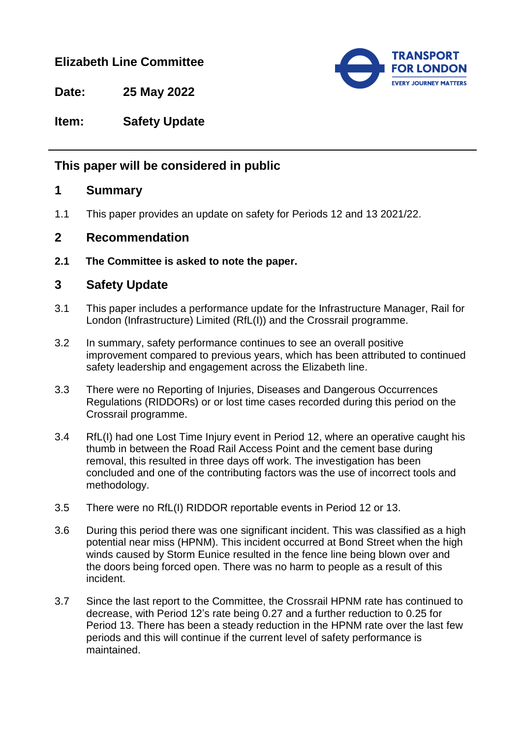# **Elizabeth Line Committee**



**Date: 25 May 2022**

### **Item: Safety Update**

## **This paper will be considered in public**

#### **1 Summary**

1.1 This paper provides an update on safety for Periods 12 and 13 2021/22.

### **2 Recommendation**

**2.1 The Committee is asked to note the paper.**

### **3 Safety Update**

- 3.1 This paper includes a performance update for the Infrastructure Manager, Rail for London (Infrastructure) Limited (RfL(I)) and the Crossrail programme.
- 3.2 In summary, safety performance continues to see an overall positive improvement compared to previous years, which has been attributed to continued safety leadership and engagement across the Elizabeth line.
- 3.3 There were no Reporting of Injuries, Diseases and Dangerous Occurrences Regulations (RIDDORs) or or lost time cases recorded during this period on the Crossrail programme.
- 3.4 RfL(I) had one Lost Time Injury event in Period 12, where an operative caught his thumb in between the Road Rail Access Point and the cement base during removal, this resulted in three days off work. The investigation has been concluded and one of the contributing factors was the use of incorrect tools and methodology.
- 3.5 There were no RfL(I) RIDDOR reportable events in Period 12 or 13.
- 3.6 During this period there was one significant incident. This was classified as a high potential near miss (HPNM). This incident occurred at Bond Street when the high winds caused by Storm Eunice resulted in the fence line being blown over and the doors being forced open. There was no harm to people as a result of this incident.
- 3.7 Since the last report to the Committee, the Crossrail HPNM rate has continued to decrease, with Period 12's rate being 0.27 and a further reduction to 0.25 for Period 13. There has been a steady reduction in the HPNM rate over the last few periods and this will continue if the current level of safety performance is maintained.